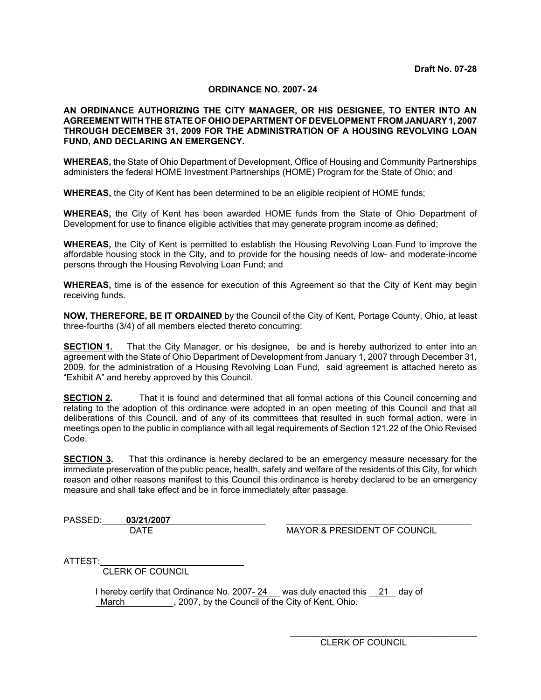# **ORDINANCE NO. 2007- 24**

## **AN ORDINANCE AUTHORIZING THE CITY MANAGER, OR HIS DESIGNEE, TO ENTER INTO AN AGREEMENT WITH THE STATE OF OHIO DEPARTMENT OF DEVELOPMENT FROM JANUARY 1, 2007 THROUGH DECEMBER 31, 2009 FOR THE ADMINISTRATION OF A HOUSING REVOLVING LOAN FUND, AND DECLARING AN EMERGENCY.**

**WHEREAS,** the State of Ohio Department of Development, Office of Housing and Community Partnerships administers the federal HOME Investment Partnerships (HOME) Program for the State of Ohio; and

**WHEREAS,** the City of Kent has been determined to be an eligible recipient of HOME funds;

**WHEREAS,** the City of Kent has been awarded HOME funds from the State of Ohio Department of Development for use to finance eligible activities that may generate program income as defined;

**WHEREAS,** the City of Kent is permitted to establish the Housing Revolving Loan Fund to improve the affordable housing stock in the City, and to provide for the housing needs of low- and moderate-income persons through the Housing Revolving Loan Fund; and

**WHEREAS,** time is of the essence for execution of this Agreement so that the City of Kent may begin receiving funds.

**NOW, THEREFORE, BE IT ORDAINED** by the Council of the City of Kent, Portage County, Ohio, at least three-fourths (3/4) of all members elected thereto concurring:

**SECTION 1.** That the City Manager, or his designee, be and is hereby authorized to enter into an agreement with the State of Ohio Department of Development from January 1, 2007 through December 31, 2009. for the administration of a Housing Revolving Loan Fund, said agreement is attached hereto as "Exhibit A" and hereby approved by this Council.

**SECTION 2.** That it is found and determined that all formal actions of this Council concerning and relating to the adoption of this ordinance were adopted in an open meeting of this Council and that all deliberations of this Council, and of any of its committees that resulted in such formal action, were in meetings open to the public in compliance with all legal requirements of Section 121.22 of the Ohio Revised Code.

**SECTION 3.** That this ordinance is hereby declared to be an emergency measure necessary for the immediate preservation of the public peace, health, safety and welfare of the residents of this City, for which reason and other reasons manifest to this Council this ordinance is hereby declared to be an emergency measure and shall take effect and be in force immediately after passage.

PASSED: **03/21/2007** 

DATE MAYOR & PRESIDENT OF COUNCIL

ATTEST:

CLERK OF COUNCIL

I hereby certify that Ordinance No. 2007- 24 was duly enacted this 21 day of March , 2007, by the Council of the City of Kent, Ohio.

> $\mathcal{L}_\text{max} = \frac{1}{2} \sum_{i=1}^{n} \frac{1}{2} \sum_{i=1}^{n} \frac{1}{2} \sum_{i=1}^{n} \frac{1}{2} \sum_{i=1}^{n} \frac{1}{2} \sum_{i=1}^{n} \frac{1}{2} \sum_{i=1}^{n} \frac{1}{2} \sum_{i=1}^{n} \frac{1}{2} \sum_{i=1}^{n} \frac{1}{2} \sum_{i=1}^{n} \frac{1}{2} \sum_{i=1}^{n} \frac{1}{2} \sum_{i=1}^{n} \frac{1}{2} \sum_{i=1}^{n} \frac{1$ CLERK OF COUNCIL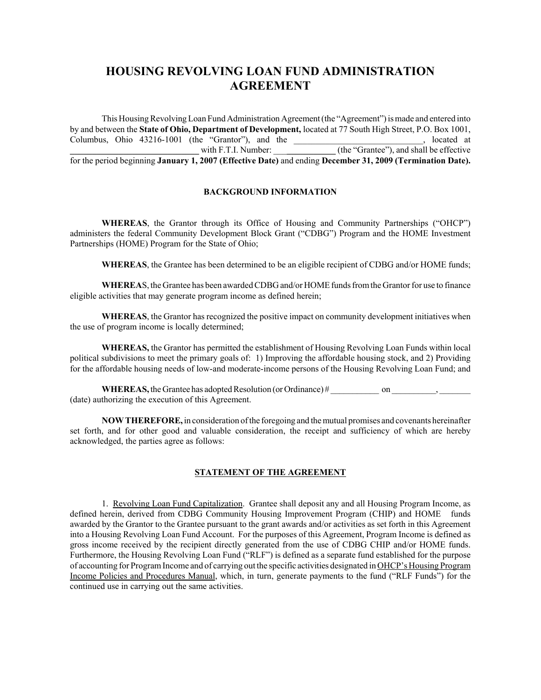# **HOUSING REVOLVING LOAN FUND ADMINISTRATION AGREEMENT**

This Housing Revolving Loan Fund Administration Agreement (the "Agreement") is made and entered into by and between the **State of Ohio, Department of Development,** located at 77 South High Street, P.O. Box 1001, Columbus, Ohio 43216-1001 (the "Grantor"), and the  $\blacksquare$ , located at with F.T.I. Number:  $\qquad \qquad$  (the "Grantee"), and shall be effective for the period beginning **January 1, 2007 (Effective Date)** and ending **December 31, 2009 (Termination Date).**

#### **BACKGROUND INFORMATION**

**WHEREAS**, the Grantor through its Office of Housing and Community Partnerships ("OHCP") administers the federal Community Development Block Grant ("CDBG") Program and the HOME Investment Partnerships (HOME) Program for the State of Ohio;

**WHEREAS**, the Grantee has been determined to be an eligible recipient of CDBG and/or HOME funds;

**WHEREA**S, the Grantee has been awarded CDBG and/or HOME funds from the Grantor for use to finance eligible activities that may generate program income as defined herein;

**WHEREAS**, the Grantor has recognized the positive impact on community development initiatives when the use of program income is locally determined;

**WHEREAS,** the Grantor has permitted the establishment of Housing Revolving Loan Funds within local political subdivisions to meet the primary goals of: 1) Improving the affordable housing stock, and 2) Providing for the affordable housing needs of low-and moderate-income persons of the Housing Revolving Loan Fund; and

**WHEREAS,** the Grantee has adopted Resolution (or Ordinance) # \_\_\_\_\_\_\_\_\_ on \_\_\_\_\_, (date) authorizing the execution of this Agreement.

**NOW THEREFORE,** in consideration of the foregoing and the mutual promises and covenants hereinafter set forth, and for other good and valuable consideration, the receipt and sufficiency of which are hereby acknowledged, the parties agree as follows:

### **STATEMENT OF THE AGREEMENT**

1. Revolving Loan Fund Capitalization. Grantee shall deposit any and all Housing Program Income, as defined herein, derived from CDBG Community Housing Improvement Program (CHIP) and HOME funds awarded by the Grantor to the Grantee pursuant to the grant awards and/or activities as set forth in this Agreement into a Housing Revolving Loan Fund Account. For the purposes of this Agreement, Program Income is defined as gross income received by the recipient directly generated from the use of CDBG CHIP and/or HOME funds. Furthermore, the Housing Revolving Loan Fund ("RLF") is defined as a separate fund established for the purpose of accounting for Program Income and of carrying out the specific activities designated in OHCP's Housing Program Income Policies and Procedures Manual, which, in turn, generate payments to the fund ("RLF Funds") for the continued use in carrying out the same activities.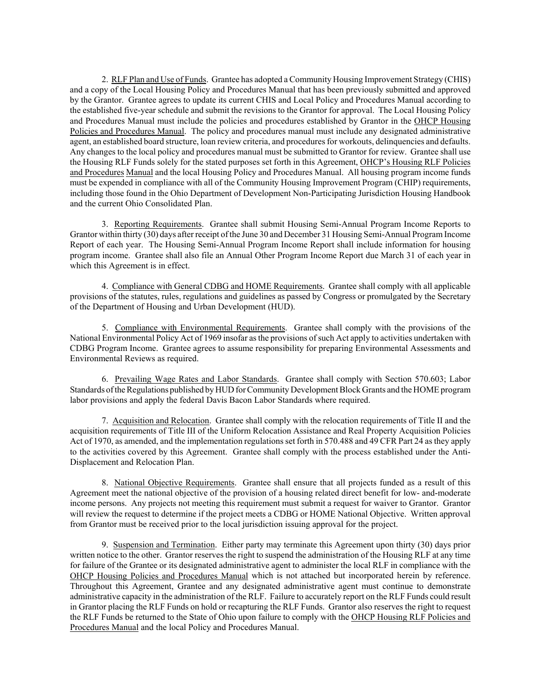2. RLF Plan and Use of Funds. Grantee has adopted a Community Housing Improvement Strategy (CHIS) and a copy of the Local Housing Policy and Procedures Manual that has been previously submitted and approved by the Grantor. Grantee agrees to update its current CHIS and Local Policy and Procedures Manual according to the established five-year schedule and submit the revisions to the Grantor for approval. The Local Housing Policy and Procedures Manual must include the policies and procedures established by Grantor in the OHCP Housing Policies and Procedures Manual. The policy and procedures manual must include any designated administrative agent, an established board structure, loan review criteria, and procedures for workouts, delinquencies and defaults. Any changes to the local policy and procedures manual must be submitted to Grantor for review. Grantee shall use the Housing RLF Funds solely for the stated purposes set forth in this Agreement, OHCP's Housing RLF Policies and Procedures Manual and the local Housing Policy and Procedures Manual. All housing program income funds must be expended in compliance with all of the Community Housing Improvement Program (CHIP) requirements, including those found in the Ohio Department of Development Non-Participating Jurisdiction Housing Handbook and the current Ohio Consolidated Plan.

3. Reporting Requirements. Grantee shall submit Housing Semi-Annual Program Income Reports to Grantor within thirty (30) days after receipt of the June 30 and December 31 Housing Semi-Annual Program Income Report of each year. The Housing Semi-Annual Program Income Report shall include information for housing program income. Grantee shall also file an Annual Other Program Income Report due March 31 of each year in which this Agreement is in effect.

4. Compliance with General CDBG and HOME Requirements. Grantee shall comply with all applicable provisions of the statutes, rules, regulations and guidelines as passed by Congress or promulgated by the Secretary of the Department of Housing and Urban Development (HUD).

5. Compliance with Environmental Requirements. Grantee shall comply with the provisions of the National Environmental Policy Act of 1969 insofar as the provisions of such Act apply to activities undertaken with CDBG Program Income. Grantee agrees to assume responsibility for preparing Environmental Assessments and Environmental Reviews as required.

6. Prevailing Wage Rates and Labor Standards. Grantee shall comply with Section 570.603; Labor Standards of the Regulations published by HUD for Community Development Block Grants and the HOME program labor provisions and apply the federal Davis Bacon Labor Standards where required.

7. Acquisition and Relocation. Grantee shall comply with the relocation requirements of Title II and the acquisition requirements of Title III of the Uniform Relocation Assistance and Real Property Acquisition Policies Act of 1970, as amended, and the implementation regulations set forth in 570.488 and 49 CFR Part 24 as they apply to the activities covered by this Agreement. Grantee shall comply with the process established under the Anti-Displacement and Relocation Plan.

8. National Objective Requirements. Grantee shall ensure that all projects funded as a result of this Agreement meet the national objective of the provision of a housing related direct benefit for low- and-moderate income persons. Any projects not meeting this requirement must submit a request for waiver to Grantor. Grantor will review the request to determine if the project meets a CDBG or HOME National Objective. Written approval from Grantor must be received prior to the local jurisdiction issuing approval for the project.

9. Suspension and Termination. Either party may terminate this Agreement upon thirty (30) days prior written notice to the other. Grantor reserves the right to suspend the administration of the Housing RLF at any time for failure of the Grantee or its designated administrative agent to administer the local RLF in compliance with the OHCP Housing Policies and Procedures Manual which is not attached but incorporated herein by reference. Throughout this Agreement, Grantee and any designated administrative agent must continue to demonstrate administrative capacity in the administration of the RLF. Failure to accurately report on the RLF Funds could result in Grantor placing the RLF Funds on hold or recapturing the RLF Funds. Grantor also reserves the right to request the RLF Funds be returned to the State of Ohio upon failure to comply with the OHCP Housing RLF Policies and Procedures Manual and the local Policy and Procedures Manual.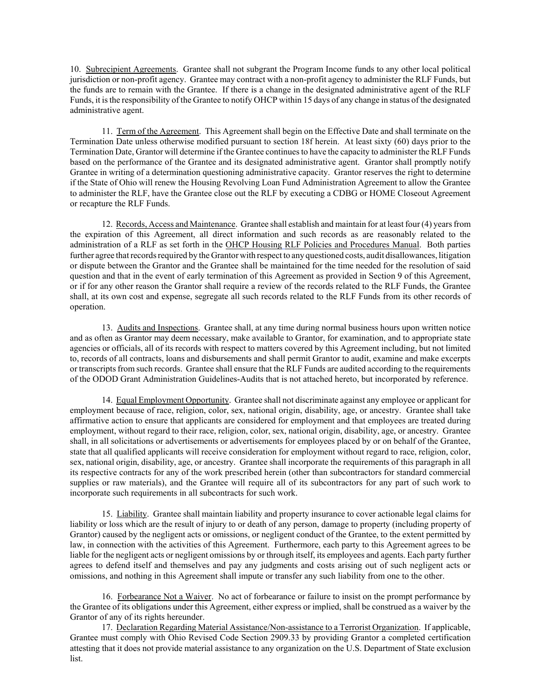10. Subrecipient Agreements. Grantee shall not subgrant the Program Income funds to any other local political jurisdiction or non-profit agency. Grantee may contract with a non-profit agency to administer the RLF Funds, but the funds are to remain with the Grantee. If there is a change in the designated administrative agent of the RLF Funds, it is the responsibility of the Grantee to notify OHCP within 15 days of any change in status of the designated administrative agent.

11. Term of the Agreement. This Agreement shall begin on the Effective Date and shall terminate on the Termination Date unless otherwise modified pursuant to section 18f herein. At least sixty (60) days prior to the Termination Date, Grantor will determine if the Grantee continues to have the capacity to administer the RLF Funds based on the performance of the Grantee and its designated administrative agent. Grantor shall promptly notify Grantee in writing of a determination questioning administrative capacity. Grantor reserves the right to determine if the State of Ohio will renew the Housing Revolving Loan Fund Administration Agreement to allow the Grantee to administer the RLF, have the Grantee close out the RLF by executing a CDBG or HOME Closeout Agreement or recapture the RLF Funds.

12. Records, Access and Maintenance. Grantee shall establish and maintain for at least four (4) years from the expiration of this Agreement, all direct information and such records as are reasonably related to the administration of a RLF as set forth in the OHCP Housing RLF Policies and Procedures Manual. Both parties further agree that records required by the Grantor with respect to any questioned costs, audit disallowances, litigation or dispute between the Grantor and the Grantee shall be maintained for the time needed for the resolution of said question and that in the event of early termination of this Agreement as provided in Section 9 of this Agreement, or if for any other reason the Grantor shall require a review of the records related to the RLF Funds, the Grantee shall, at its own cost and expense, segregate all such records related to the RLF Funds from its other records of operation.

13. Audits and Inspections. Grantee shall, at any time during normal business hours upon written notice and as often as Grantor may deem necessary, make available to Grantor, for examination, and to appropriate state agencies or officials, all of its records with respect to matters covered by this Agreement including, but not limited to, records of all contracts, loans and disbursements and shall permit Grantor to audit, examine and make excerpts or transcripts from such records. Grantee shall ensure that the RLF Funds are audited according to the requirements of the ODOD Grant Administration Guidelines-Audits that is not attached hereto, but incorporated by reference.

14. Equal Employment Opportunity. Grantee shall not discriminate against any employee or applicant for employment because of race, religion, color, sex, national origin, disability, age, or ancestry. Grantee shall take affirmative action to ensure that applicants are considered for employment and that employees are treated during employment, without regard to their race, religion, color, sex, national origin, disability, age, or ancestry. Grantee shall, in all solicitations or advertisements or advertisements for employees placed by or on behalf of the Grantee, state that all qualified applicants will receive consideration for employment without regard to race, religion, color, sex, national origin, disability, age, or ancestry. Grantee shall incorporate the requirements of this paragraph in all its respective contracts for any of the work prescribed herein (other than subcontractors for standard commercial supplies or raw materials), and the Grantee will require all of its subcontractors for any part of such work to incorporate such requirements in all subcontracts for such work.

15. Liability. Grantee shall maintain liability and property insurance to cover actionable legal claims for liability or loss which are the result of injury to or death of any person, damage to property (including property of Grantor) caused by the negligent acts or omissions, or negligent conduct of the Grantee, to the extent permitted by law, in connection with the activities of this Agreement. Furthermore, each party to this Agreement agrees to be liable for the negligent acts or negligent omissions by or through itself, its employees and agents. Each party further agrees to defend itself and themselves and pay any judgments and costs arising out of such negligent acts or omissions, and nothing in this Agreement shall impute or transfer any such liability from one to the other.

16. Forbearance Not a Waiver. No act of forbearance or failure to insist on the prompt performance by the Grantee of its obligations under this Agreement, either express or implied, shall be construed as a waiver by the Grantor of any of its rights hereunder.

17. Declaration Regarding Material Assistance/Non-assistance to a Terrorist Organization. If applicable, Grantee must comply with Ohio Revised Code Section 2909.33 by providing Grantor a completed certification attesting that it does not provide material assistance to any organization on the U.S. Department of State exclusion list.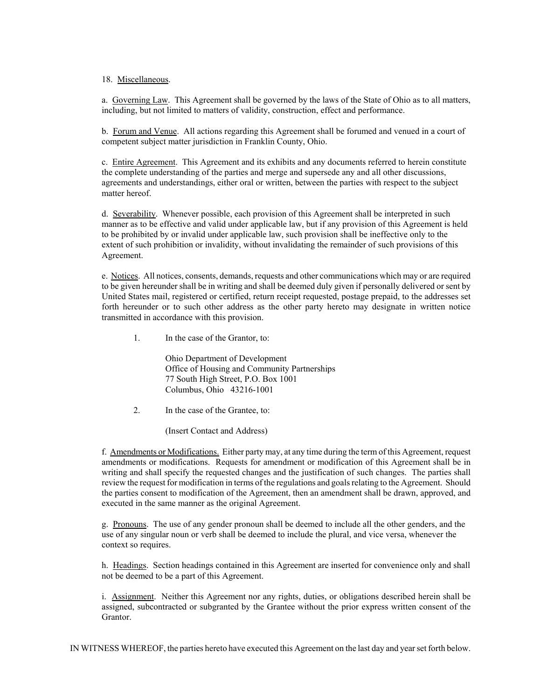#### 18. Miscellaneous.

a. Governing Law. This Agreement shall be governed by the laws of the State of Ohio as to all matters, including, but not limited to matters of validity, construction, effect and performance.

b. Forum and Venue. All actions regarding this Agreement shall be forumed and venued in a court of competent subject matter jurisdiction in Franklin County, Ohio.

c. Entire Agreement. This Agreement and its exhibits and any documents referred to herein constitute the complete understanding of the parties and merge and supersede any and all other discussions, agreements and understandings, either oral or written, between the parties with respect to the subject matter hereof.

d. Severability. Whenever possible, each provision of this Agreement shall be interpreted in such manner as to be effective and valid under applicable law, but if any provision of this Agreement is held to be prohibited by or invalid under applicable law, such provision shall be ineffective only to the extent of such prohibition or invalidity, without invalidating the remainder of such provisions of this Agreement.

e. Notices. All notices, consents, demands, requests and other communications which may or are required to be given hereunder shall be in writing and shall be deemed duly given if personally delivered or sent by United States mail, registered or certified, return receipt requested, postage prepaid, to the addresses set forth hereunder or to such other address as the other party hereto may designate in written notice transmitted in accordance with this provision.

1. In the case of the Grantor, to:

Ohio Department of Development Office of Housing and Community Partnerships 77 South High Street, P.O. Box 1001 Columbus, Ohio 43216-1001

2. In the case of the Grantee, to:

(Insert Contact and Address)

f. Amendments or Modifications. Either party may, at any time during the term of this Agreement, request amendments or modifications. Requests for amendment or modification of this Agreement shall be in writing and shall specify the requested changes and the justification of such changes. The parties shall review the request for modification in terms of the regulations and goals relating to the Agreement. Should the parties consent to modification of the Agreement, then an amendment shall be drawn, approved, and executed in the same manner as the original Agreement.

g. Pronouns. The use of any gender pronoun shall be deemed to include all the other genders, and the use of any singular noun or verb shall be deemed to include the plural, and vice versa, whenever the context so requires.

h. Headings. Section headings contained in this Agreement are inserted for convenience only and shall not be deemed to be a part of this Agreement.

i. Assignment. Neither this Agreement nor any rights, duties, or obligations described herein shall be assigned, subcontracted or subgranted by the Grantee without the prior express written consent of the Grantor.

IN WITNESS WHEREOF, the parties hereto have executed this Agreement on the last day and year set forth below.